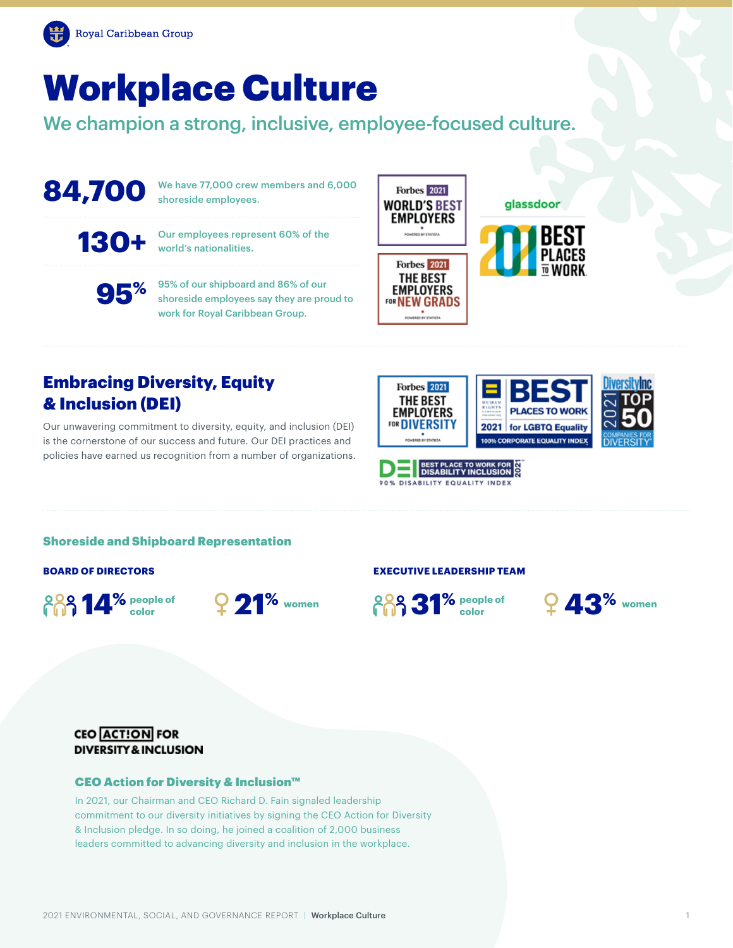

# Workplace Culture

We champion a strong, inclusive, employee-focused culture.

## **84,700**

We have 77,000 crew members and 6,000 shoreside employees.

**130+**

Our employees represent 60% of the world's nationalities.

**95%**

95% of our shipboard and 86% of our shoreside employees say they are proud to work for Royal Caribbean Group.



#### glassdoor



**PLACES TO WORK** 

2021 for LGBTQ Equality 100% CORPORATE EQUALITY INDEX



## Embracing Diversity, Equity & Inclusion (DEI)

Our unwavering commitment to diversity, equity, and inclusion (DEI) is the cornerstone of our success and future. Our DEI practices and policies have earned us recognition from a number of organizations.



**Forbes** 2021 **THE BEST** 

**EMPLOYERS** FOR **DIVERSITY** 

#### Shoreside and Shipboard Representation

**people of color**



#### **BOARD OF DIRECTORS EXECUTIVE LEADERSHIP TEAM**





#### **CEO ACTION FOR DIVERSITY & INCLUSION**

#### CEO Action for Diversity & Inclusion™

In 2021, our Chairman and CEO Richard D. Fain signaled leadership commitment to our diversity initiatives by signing the CEO Action for Diversity & Inclusion pledge. In so doing, he joined a coalition of 2,000 business leaders committed to advancing diversity and inclusion in the workplace.